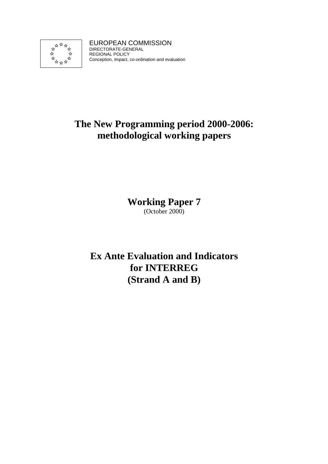

EUROPEAN COMMISSION DIRECTORATE-GENERAL REGIONAL POLICY Conception, impact, co-ordination and evaluation

# **The New Programming period 2000-2006: methodological working papers**

**Working Paper 7** 

(October 2000)

**Ex Ante Evaluation and Indicators for INTERREG (Strand A and B)**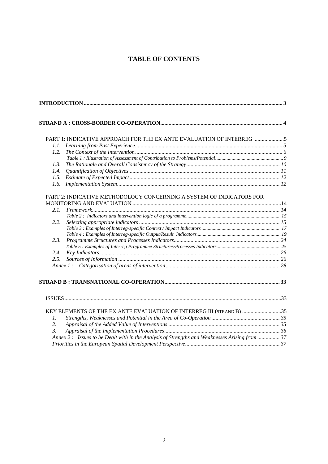# **TABLE OF CONTENTS**

|                  | PART 1: INDICATIVE APPROACH FOR THE EX ANTE EVALUATION OF INTERREG 5                          |  |
|------------------|-----------------------------------------------------------------------------------------------|--|
| 1.1.             |                                                                                               |  |
| 1.2.             |                                                                                               |  |
|                  |                                                                                               |  |
| 1.3.             |                                                                                               |  |
| 1.4.             |                                                                                               |  |
| 1.5.             |                                                                                               |  |
| 1.6.             |                                                                                               |  |
|                  |                                                                                               |  |
|                  | PART 2: INDICATIVE METHODOLOGY CONCERNING A SYSTEM OF INDICATORS FOR                          |  |
|                  |                                                                                               |  |
| 2.1.             |                                                                                               |  |
|                  |                                                                                               |  |
| 2.2.             |                                                                                               |  |
|                  |                                                                                               |  |
|                  |                                                                                               |  |
| 2.3.             |                                                                                               |  |
|                  |                                                                                               |  |
| 2.4.             |                                                                                               |  |
| 2.5.             |                                                                                               |  |
|                  |                                                                                               |  |
|                  |                                                                                               |  |
|                  |                                                                                               |  |
|                  |                                                                                               |  |
|                  |                                                                                               |  |
|                  | KEY ELEMENTS OF THE EX ANTE EVALUATION OF INTERREG III (STRAND B) 35                          |  |
| $\mathcal{I}$ .  |                                                                                               |  |
| 2.               |                                                                                               |  |
| $\mathfrak{Z}$ . |                                                                                               |  |
|                  | Annex 2: Issues to be Dealt with in the Analysis of Strengths and Weaknesses Arising from  37 |  |
|                  |                                                                                               |  |
|                  |                                                                                               |  |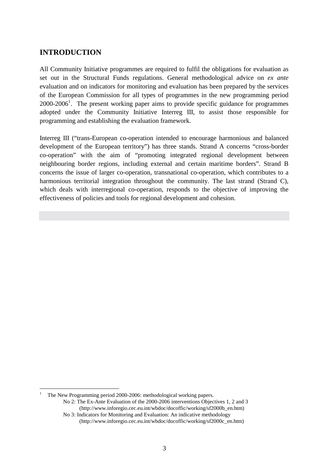# **INTRODUCTION**

All Community Initiative programmes are required to fulfil the obligations for evaluation as set out in the Structural Funds regulations. General methodological advice on *ex ante* evaluation and on indicators for monitoring and evaluation has been prepared by the services of the European Commission for all types of programmes in the new programming period  $2000-2006<sup>1</sup>$ . The present working paper aims to provide specific guidance for programmes adopted under the Community Initiative Interreg III, to assist those responsible for programming and establishing the evaluation framework.

Interreg III ("trans-European co-operation intended to encourage harmonious and balanced development of the European territory") has three stands. Strand A concerns "cross-border co-operation" with the aim of "promoting integrated regional development between neighbouring border regions, including external and certain maritime borders". Strand B concerns the issue of larger co-operation, transnational co-operation, which contributes to a harmonious territorial integration throughout the community. The last strand (Strand C), which deals with interregional co-operation, responds to the objective of improving the effectiveness of policies and tools for regional development and cohesion.

1 The New Programming period 2000-2006: methodological working papers.

 $\overline{a}$ 

 No 2: The Ex-Ante Evaluation of the 2000-2006 interventions Objectives 1, 2 and 3 (http://www.inforegio.cec.eu.int/wbdoc/docoffic/working/sf2000b\_en.htm) No 3: Indicators for Monitoring and Evaluation: An indicative methodology

 <sup>(</sup>http://www.inforegio.cec.eu.int/wbdoc/docoffic/working/sf2000c\_en.htm)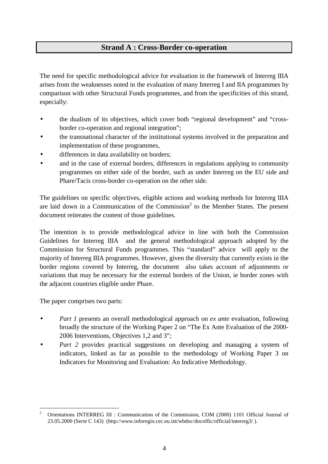# **Strand A : Cross-Border co-operation**

The need for specific methodological advice for evaluation in the framework of Interreg IIIA arises from the weaknesses noted in the evaluation of many Interreg I and IIA programmes by comparison with other Structural Funds programmes, and from the specificities of this strand, especially:

- the dualism of its objectives, which cover both "regional development" and "crossborder co-operation and regional integration";
- the transnational character of the institutional systems involved in the preparation and implementation of these programmes,
- differences in data availability on borders;
- and in the case of external borders, differences in regulations applying to community programmes on either side of the border, such as under Interreg on the EU side and Phare/Tacis cross-border co-operation on the other side.

The guidelines on specific objectives, eligible actions and working methods for Interreg IIIA are laid down in a Communication of the Commission<sup>2</sup> to the Member States. The present document reiterates the content of those guidelines.

The intention is to provide methodological advice in line with both the Commission Guidelines for Interreg IIIA and the general methodological approach adopted by the Commission for Structural Funds programmes. This "standard" advice will apply to the majority of Interreg IIIA programmes. However, given the diversity that currently exists in the border regions covered by Interreg, the document also takes account of adjustments or variations that may be necessary for the external borders of the Union, ie border zones with the adjacent countries eligible under Phare.

The paper comprises two parts:

- *Part 1* presents an overall methodological approach on *ex ante* evaluation, following broadly the structure of the Working Paper 2 on "The Ex Ante Evaluation of the 2000- 2006 Interventions, Objectives 1,2 and 3";
- *Part 2* provides practical suggestions on developing and managing a system of indicators, linked as far as possible to the methodology of Working Paper 3 on Indicators for Monitoring and Evaluation: An Indicative Methodology.

 $\overline{a}$ 2 Orientations INTERREG III : Communication of the Commission, COM (2000) 1101 Official Journal of 23.05.2000 (Serie C 143) (http://www.inforegio.cec.eu.int/wbdoc/docoffic/official/interreg3/ ).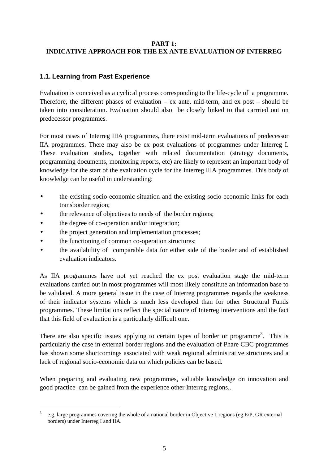# **PART 1: INDICATIVE APPROACH FOR THE EX ANTE EVALUATION OF INTERREG**

# **1.1. Learning from Past Experience**

Evaluation is conceived as a cyclical process corresponding to the life-cycle of a programme. Therefore, the different phases of evaluation – ex ante, mid-term, and ex post – should be taken into consideration. Evaluation should also be closely linked to that carrried out on predecessor programmes.

For most cases of Interreg IIIA programmes, there exist mid-term evaluations of predecessor IIA programmes. There may also be ex post evaluations of programmes under Interreg I. These evaluation studies, together with related documentation (strategy documents, programming documents, monitoring reports, etc) are likely to represent an important body of knowledge for the start of the evaluation cycle for the Interreg IIIA programmes. This body of knowledge can be useful in understanding:

- the existing socio-economic situation and the existing socio-economic links for each transborder region;
- the relevance of objectives to needs of the border regions;
- the degree of co-operation and/or integration;
- the project generation and implementation processes;
- the functioning of common co-operation structures;
- the availability of comparable data for either side of the border and of established evaluation indicators.

As IIA programmes have not yet reached the ex post evaluation stage the mid-term evaluations carried out in most programmes will most likely constitute an information base to be validated. A more general issue in the case of Interreg programmes regards the weakness of their indicator systems which is much less developed than for other Structural Funds programmes. These limitations reflect the special nature of Interreg interventions and the fact that this field of evaluation is a particularly difficult one.

There are also specific issues applying to certain types of border or programme<sup>3</sup>. This is particularly the case in external border regions and the evaluation of Phare CBC programmes has shown some shortcomings associated with weak regional administrative structures and a lack of regional socio-economic data on which policies can be based.

When preparing and evaluating new programmes, valuable knowledge on innovation and good practice can be gained from the experience other Interreg regions..

 $\overline{a}$ 3 e.g. large programmes covering the whole of a national border in Objective 1 regions (eg E/P, GR external borders) under Interreg I and IIA.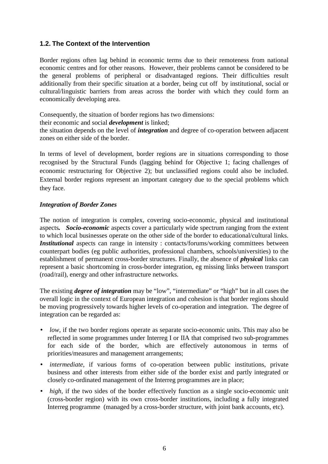# **1.2. The Context of the Intervention**

Border regions often lag behind in economic terms due to their remoteness from national economic centres and for other reasons. However, their problems cannot be considered to be the general problems of peripheral or disadvantaged regions. Their difficulties result additionally from their specific situation at a border, being cut off by institutional, social or cultural/linguistic barriers from areas across the border with which they could form an economically developing area.

Consequently, the situation of border regions has two dimensions:

their economic and social *development* is linked;

the situation depends on the level of *integration* and degree of co-operation between adjacent zones on either side of the border.

In terms of level of development, border regions are in situations corresponding to those recognised by the Structural Funds (lagging behind for Objective 1; facing challenges of economic restructuring for Objective 2); but unclassified regions could also be included. External border regions represent an important category due to the special problems which they face.

# *Integration of Border Zones*

The notion of integration is complex, covering socio-economic, physical and institutional aspects*. Socio-economic* aspects cover a particularly wide spectrum ranging from the extent to which local businesses operate on the other side of the border to educational/cultural links. *Institutional* aspects can range in intensity : contacts/forums/working committees between counterpart bodies (eg public authorities, professional chambers, schools/universities) to the establishment of permanent cross-border structures. Finally, the absence of *physical* links can represent a basic shortcoming in cross-border integration, eg missing links between transport (road/rail), energy and other infrastructure networks.

The existing *degree of integration* may be "low", "intermediate" or "high" but in all cases the overall logic in the context of European integration and cohesion is that border regions should be moving progressively towards higher levels of co-operation and integration. The degree of integration can be regarded as:

- *low*, if the two border regions operate as separate socio-economic units. This may also be reflected in some programmes under Interreg I or IIA that comprised two sub-programmes for each side of the border, which are effectively autonomous in terms of priorities/measures and management arrangements;
- *intermediate*, if various forms of co-operation between public institutions, private business and other interests from either side of the border exist and partly integrated or closely co-ordinated management of the Interreg programmes are in place;
- *high*, if the two sides of the border effectively function as a single socio-economic unit (cross-border region) with its own cross-border institutions, including a fully integrated Interreg programme (managed by a cross-border structure, with joint bank accounts, etc).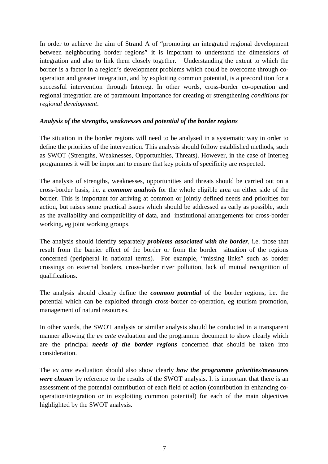In order to achieve the aim of Strand A of "promoting an integrated regional development between neighbouring border regions" it is important to understand the dimensions of integration and also to link them closely together. Understanding the extent to which the border is a factor in a region's development problems which could be overcome through cooperation and greater integration, and by exploiting common potential, is a precondition for a successful intervention through Interreg. In other words, cross-border co-operation and regional integration are of paramount importance for creating or strengthening *conditions for regional development*.

# *Analysis of the strengths, weaknesses and potential of the border regions*

The situation in the border regions will need to be analysed in a systematic way in order to define the priorities of the intervention. This analysis should follow established methods, such as SWOT (Strengths, Weaknesses, Opportunities, Threats). However, in the case of Interreg programmes it will be important to ensure that key points of specificity are respected.

The analysis of strengths, weaknesses, opportunities and threats should be carried out on a cross-border basis, i.e. a *common analysis* for the whole eligible area on either side of the border. This is important for arriving at common or jointly defined needs and priorities for action, but raises some practical issues which should be addressed as early as possible, such as the availability and compatibility of data, and institutional arrangements for cross-border working, eg joint working groups.

The analysis should identify separately *problems associated with the border*, i.e. those that result from the barrier effect of the border or from the border situation of the regions concerned (peripheral in national terms). For example, "missing links" such as border crossings on external borders, cross-border river pollution, lack of mutual recognition of qualifications.

The analysis should clearly define the *common potential* of the border regions, i.e. the potential which can be exploited through cross-border co-operation, eg tourism promotion, management of natural resources.

In other words, the SWOT analysis or similar analysis should be conducted in a transparent manner allowing the *ex ante* evaluation and the programme document to show clearly which are the principal *needs of the border regions* concerned that should be taken into consideration.

The *ex ante* evaluation should also show clearly *how the programme priorities/measures were chosen* by reference to the results of the SWOT analysis. It is important that there is an assessment of the potential contribution of each field of action (contribution in enhancing cooperation/integration or in exploiting common potential) for each of the main objectives highlighted by the SWOT analysis.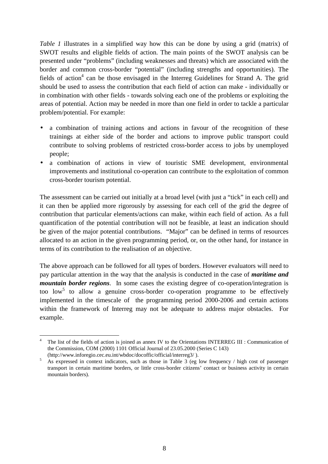*Table 1* illustrates in a simplified way how this can be done by using a grid (matrix) of SWOT results and eligible fields of action. The main points of the SWOT analysis can be presented under "problems" (including weaknesses and threats) which are associated with the border and common cross-border "potential" (including strengths and opportunities). The fields of action<sup>4</sup> can be those envisaged in the Interreg Guidelines for Strand A. The grid should be used to assess the contribution that each field of action can make - individually or in combination with other fields - towards solving each one of the problems or exploiting the areas of potential. Action may be needed in more than one field in order to tackle a particular problem/potential. For example:

- a combination of training actions and actions in favour of the recognition of these trainings at either side of the border and actions to improve public transport could contribute to solving problems of restricted cross-border access to jobs by unemployed people;
- a combination of actions in view of touristic SME development, environmental improvements and institutional co-operation can contribute to the exploitation of common cross-border tourism potential.

The assessment can be carried out initially at a broad level (with just a "tick" in each cell) and it can then be applied more rigorously by assessing for each cell of the grid the degree of contribution that particular elements/actions can make, within each field of action. As a full quantification of the potential contribution will not be feasible, at least an indication should be given of the major potential contributions. "Major" can be defined in terms of resources allocated to an action in the given programming period, or, on the other hand, for instance in terms of its contribution to the realisation of an objective.

The above approach can be followed for all types of borders. However evaluators will need to pay particular attention in the way that the analysis is conducted in the case of *maritime and mountain border regions*. In some cases the existing degree of co-operation/integration is too low<sup>5</sup> to allow a genuine cross-border co-operation programme to be effectively implemented in the timescale of the programming period 2000-2006 and certain actions within the framework of Interreg may not be adequate to address major obstacles. For example.

 $\overline{a}$ 4 The list of the fields of action is joined as annex IV to the Orientations INTERREG III : Communication of the Commission, COM (2000) 1101 Official Journal of 23.05.2000 (Series C 143)

<sup>(</sup>http://www.inforegio.cec.eu.int/wbdoc/docoffic/official/interreg3/).<br> $\frac{5}{2}$  As expressed in sentent indicators, such as these in Table 3 (eq. 1) As expressed in context indicators, such as those in Table 3 (eg low frequency / high cost of passenger transport in certain maritime borders, or little cross-border citizens' contact or business activity in certain mountain borders).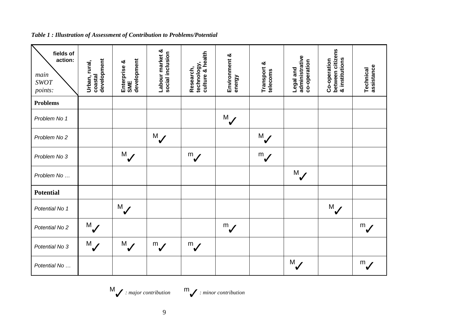| fields of<br>action:<br>main<br><b>SWOT</b><br>points: | development<br>Urban, rural,<br>coastal | development<br>Enterprise &<br>SME | Labour market &<br>social inclusion | culture & health<br>technology,<br>Research, | Environment &<br>energy | Transport &<br>telecoms | administrative<br>co-operation<br>Legal and | between citizens<br>& institutions<br>Co-operation | assistance<br>Technical |
|--------------------------------------------------------|-----------------------------------------|------------------------------------|-------------------------------------|----------------------------------------------|-------------------------|-------------------------|---------------------------------------------|----------------------------------------------------|-------------------------|
| <b>Problems</b>                                        |                                         |                                    |                                     |                                              |                         |                         |                                             |                                                    |                         |
| Problem No 1                                           |                                         |                                    |                                     |                                              | M                       |                         |                                             |                                                    |                         |
| Problem No 2                                           |                                         |                                    | M <sub>l</sub>                      |                                              |                         | $M_{\odot}$             |                                             |                                                    |                         |
| Problem No 3                                           |                                         | $M_{\bullet}$                      |                                     | $\sum_{i=1}^{m}$                             |                         | $\mathbb{Z}$            |                                             |                                                    |                         |
| Problem No                                             |                                         |                                    |                                     |                                              |                         |                         | $M_{\bullet}$                               |                                                    |                         |
| <b>Potential</b>                                       |                                         |                                    |                                     |                                              |                         |                         |                                             |                                                    |                         |
| Potential No 1                                         |                                         | M                                  |                                     |                                              |                         |                         |                                             | $M_{\ell}$                                         |                         |
| Potential No 2                                         | M                                       |                                    |                                     |                                              | $\sum_{i=1}^{m}$        |                         |                                             |                                                    | $\sum_{i=1}^{m}$        |
| Potential No 3                                         | $M_{\bullet}$                           | M                                  | $\sum_{i=1}^{m}$                    | $\overline{\mathscr{U}}$                     |                         |                         |                                             |                                                    |                         |
| Potential No                                           |                                         |                                    |                                     |                                              |                         |                         | M                                           |                                                    | $\mathbb{R}$            |

## *Table 1 : Illustration of Assessment of Contribution to Problems/Potential*

 $\mathcal{M}_{\mathcal{J}}$  : major contribution  $\mathcal{M}_{\mathcal{J}}$  : minor contribution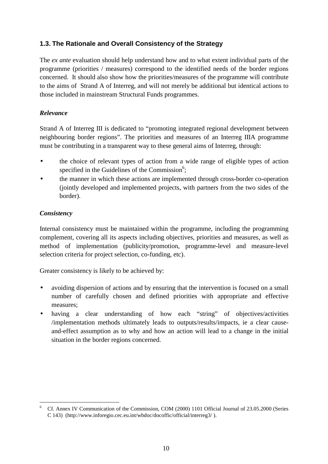# **1.3. The Rationale and Overall Consistency of the Strategy**

The *ex ante* evaluation should help understand how and to what extent individual parts of the programme (priorities / measures) correspond to the identified needs of the border regions concerned. It should also show how the priorities/measures of the programme will contribute to the aims of Strand A of Interreg, and will not merely be additional but identical actions to those included in mainstream Structural Funds programmes.

# *Relevance*

Strand A of Interreg III is dedicated to "promoting integrated regional development between neighbouring border regions". The priorities and measures of an Interreg IIIA programme must be contributing in a transparent way to these general aims of Interreg, through:

- the choice of relevant types of action from a wide range of eligible types of action specified in the Guidelines of the Commission<sup>6</sup>;
- the manner in which these actions are implemented through cross-border co-operation (jointly developed and implemented projects, with partners from the two sides of the border).

# *Consistency*

Internal consistency must be maintained within the programme, including the programming complement, covering all its aspects including objectives, priorities and measures, as well as method of implementation (publicity/promotion, programme-level and measure-level selection criteria for project selection, co-funding, etc).

Greater consistency is likely to be achieved by:

- avoiding dispersion of actions and by ensuring that the intervention is focused on a small number of carefully chosen and defined priorities with appropriate and effective measures;
- having a clear understanding of how each "string" of objectives/activities /implementation methods ultimately leads to outputs/results/impacts, ie a clear causeand-effect assumption as to why and how an action will lead to a change in the initial situation in the border regions concerned.

 $\overline{a}$ 6 Cf. Annex IV Communication of the Commission, COM (2000) 1101 Official Journal of 23.05.2000 (Series C 143) (http://www.inforegio.cec.eu.int/wbdoc/docoffic/official/interreg3/ ).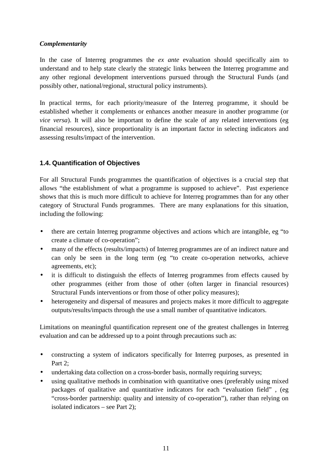# *Complementarity*

In the case of Interreg programmes the *ex ante* evaluation should specifically aim to understand and to help state clearly the strategic links between the Interreg programme and any other regional development interventions pursued through the Structural Funds (and possibly other, national/regional, structural policy instruments).

In practical terms, for each priority/measure of the Interreg programme, it should be established whether it complements or enhances another measure in another programme (or *vice versa*). It will also be important to define the scale of any related interventions (eg financial resources), since proportionality is an important factor in selecting indicators and assessing results/impact of the intervention.

# **1.4. Quantification of Objectives**

For all Structural Funds programmes the quantification of objectives is a crucial step that allows "the establishment of what a programme is supposed to achieve". Past experience shows that this is much more difficult to achieve for Interreg programmes than for any other category of Structural Funds programmes. There are many explanations for this situation, including the following:

- there are certain Interreg programme objectives and actions which are intangible, eg "to create a climate of co-operation";
- many of the effects (results/impacts) of Interreg programmes are of an indirect nature and can only be seen in the long term (eg "to create co-operation networks, achieve agreements, etc);
- it is difficult to distinguish the effects of Interreg programmes from effects caused by other programmes (either from those of other (often larger in financial resources) Structural Funds interventions or from those of other policy measures);
- heterogeneity and dispersal of measures and projects makes it more difficult to aggregate outputs/results/impacts through the use a small number of quantitative indicators.

Limitations on meaningful quantification represent one of the greatest challenges in Interreg evaluation and can be addressed up to a point through precautions such as:

- constructing a system of indicators specifically for Interreg purposes, as presented in Part 2;
- undertaking data collection on a cross-border basis, normally requiring surveys;
- using qualitative methods in combination with quantitative ones (preferably using mixed packages of qualitative and quantitative indicators for each "evaluation field" , (eg "cross-border partnership: quality and intensity of co-operation"), rather than relying on isolated indicators – see Part 2);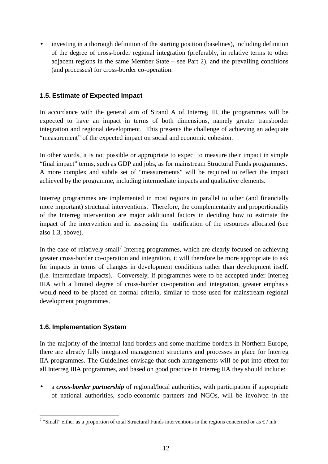investing in a thorough definition of the starting position (baselines), including definition of the degree of cross-border regional integration (preferably, in relative terms to other adjacent regions in the same Member State – see Part 2), and the prevailing conditions (and processes) for cross-border co-operation.

# **1.5. Estimate of Expected Impact**

In accordance with the general aim of Strand A of Interreg III, the programmes will be expected to have an impact in terms of both dimensions, namely greater transborder integration and regional development. This presents the challenge of achieving an adequate "measurement" of the expected impact on social and economic cohesion.

In other words, it is not possible or appropriate to expect to measure their impact in simple "final impact" terms, such as GDP and jobs, as for mainstream Structural Funds programmes. A more complex and subtle set of "measurements" will be required to reflect the impact achieved by the programme, including intermediate impacts and qualitative elements.

Interreg programmes are implemented in most regions in parallel to other (and financially more important) structural interventions. Therefore, the complementarity and proportionality of the Interreg intervention are major additional factors in deciding how to estimate the impact of the intervention and in assessing the justification of the resources allocated (see also 1.3, above).

In the case of relatively small<sup>7</sup> Interreg programmes, which are clearly focused on achieving greater cross-border co-operation and integration, it will therefore be more appropriate to ask for impacts in terms of changes in development conditions rather than development itself. (i.e. intermediate impacts). Conversely, if programmes were to be accepted under Interreg IIIA with a limited degree of cross-border co-operation and integration, greater emphasis would need to be placed on normal criteria, similar to those used for mainstream regional development programmes.

# **1.6. Implementation System**

In the majority of the internal land borders and some maritime borders in Northern Europe, there are already fully integrated management structures and processes in place for Interreg IIA programmes. The Guidelines envisage that such arrangements will be put into effect for all Interreg IIIA programmes, and based on good practice in Interreg IIA they should include:

• a *cross-border partnership* of regional/local authorities, with participation if appropriate of national authorities, socio-economic partners and NGOs, will be involved in the

<sup>&</sup>lt;sup>7</sup> "Small" either as a proportion of total Structural Funds interventions in the regions concerned or as €/ inh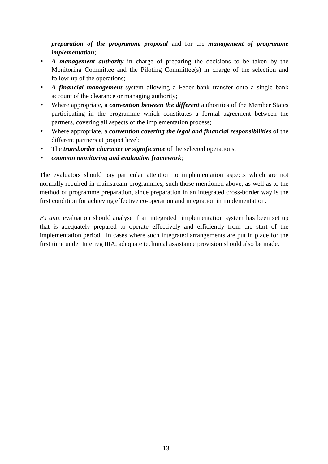*preparation of the programme proposal* and for the *management of programme implementation*;

- *A management authority* in charge of preparing the decisions to be taken by the Monitoring Committee and the Piloting Committee(s) in charge of the selection and follow-up of the operations;
- *A financial management* system allowing a Feder bank transfer onto a single bank account of the clearance or managing authority;
- Where appropriate, a *convention between the different* authorities of the Member States participating in the programme which constitutes a formal agreement between the partners, covering all aspects of the implementation process;
- Where appropriate, a *convention covering the legal and financial responsibilities* of the different partners at project level;
- The *transborder character or significance* of the selected operations,
- *common monitoring and evaluation framework*;

The evaluators should pay particular attention to implementation aspects which are not normally required in mainstream programmes, such those mentioned above, as well as to the method of programme preparation, since preparation in an integrated cross-border way is the first condition for achieving effective co-operation and integration in implementation.

*Ex ante* evaluation should analyse if an integrated implementation system has been set up that is adequately prepared to operate effectively and efficiently from the start of the implementation period. In cases where such integrated arrangements are put in place for the first time under Interreg IIIA, adequate technical assistance provision should also be made.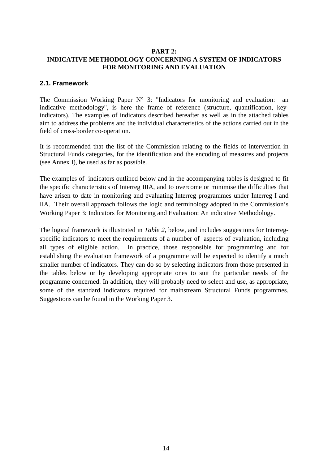# **PART 2: INDICATIVE METHODOLOGY CONCERNING A SYSTEM OF INDICATORS FOR MONITORING AND EVALUATION**

## **2.1. Framework**

The Commission Working Paper  $N^{\circ}$  3: "Indicators for monitoring and evaluation: an indicative methodology", is here the frame of reference (structure, quantification, keyindicators). The examples of indicators described hereafter as well as in the attached tables aim to address the problems and the individual characteristics of the actions carried out in the field of cross-border co-operation.

It is recommended that the list of the Commission relating to the fields of intervention in Structural Funds categories, for the identification and the encoding of measures and projects (see Annex I), be used as far as possible.

The examples of indicators outlined below and in the accompanying tables is designed to fit the specific characteristics of Interreg IIIA, and to overcome or minimise the difficulties that have arisen to date in monitoring and evaluating Interreg programmes under Interreg I and IIA. Their overall approach follows the logic and terminology adopted in the Commission's Working Paper 3: Indicators for Monitoring and Evaluation: An indicative Methodology.

The logical framework is illustrated in *Table 2*, below, and includes suggestions for Interregspecific indicators to meet the requirements of a number of aspects of evaluation, including all types of eligible action. In practice, those responsible for programming and for establishing the evaluation framework of a programme will be expected to identify a much smaller number of indicators. They can do so by selecting indicators from those presented in the tables below or by developing appropriate ones to suit the particular needs of the programme concerned. In addition, they will probably need to select and use, as appropriate, some of the standard indicators required for mainstream Structural Funds programmes. Suggestions can be found in the Working Paper 3.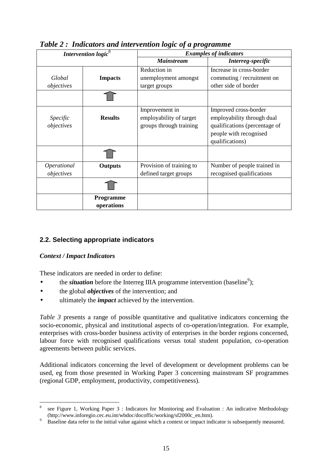| Intervention logic <sup>8</sup> |                         | <b>Examples of indicators</b>                                        |                                                                                                                                   |  |
|---------------------------------|-------------------------|----------------------------------------------------------------------|-----------------------------------------------------------------------------------------------------------------------------------|--|
|                                 |                         | <b>Mainstream</b>                                                    | Interreg-specific                                                                                                                 |  |
| Global<br>objectives            | <b>Impacts</b>          | Reduction in<br>unemployment amongst<br>target groups                | Increase in cross-border<br>commuting / recruitment on<br>other side of border                                                    |  |
|                                 |                         |                                                                      |                                                                                                                                   |  |
| Specific<br>objectives          | <b>Results</b>          | Improvement in<br>employability of target<br>groups through training | Improved cross-border<br>employability through dual<br>qualifications (percentage of<br>people with recognised<br>qualifications) |  |
|                                 |                         |                                                                      |                                                                                                                                   |  |
| Operational<br>objectives       | <b>Outputs</b>          | Provision of training to<br>defined target groups                    | Number of people trained in<br>recognised qualifications                                                                          |  |
|                                 |                         |                                                                      |                                                                                                                                   |  |
|                                 | Programme<br>operations |                                                                      |                                                                                                                                   |  |

*Table 2 : Indicators and intervention logic of a programme* 

# **2.2. Selecting appropriate indicators**

# *Context / Impact Indicators*

 $\overline{a}$ 

These indicators are needed in order to define:

- the *situation* before the Interreg IIIA programme intervention (baseline<sup>9</sup>);
- the global *objectives* of the intervention; and
- ultimately the *impact* achieved by the intervention.

*Table 3* presents a range of possible quantitative and qualitative indicators concerning the socio-economic, physical and institutional aspects of co-operation/integration. For example, enterprises with cross-border business activity of enterprises in the border regions concerned, labour force with recognised qualifications versus total student population, co-operation agreements between public services.

Additional indicators concerning the level of development or development problems can be used, eg from those presented in Working Paper 3 concerning mainstream SF programmes (regional GDP, employment, productivity, competitiveness).

<sup>8</sup> see Figure 1, Working Paper 3 : Indicators for Monitoring and Evaluation : An indicative Methodology (http://www.inforegio.cec.eu.int/wbdoc/docoffic/working/sf2000c\_en.htm).<br>9 Baseline data refer to the initial value against which a context or impact indi-

Baseline data refer to the initial value against which a context or impact indicator is subsequently measured.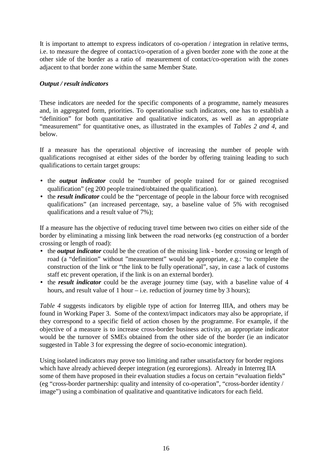It is important to attempt to express indicators of co-operation / integration in relative terms, i.e. to measure the degree of contact/co-operation of a given border zone with the zone at the other side of the border as a ratio of measurement of contact/co-operation with the zones adjacent to that border zone within the same Member State.

# *Output / result indicators*

These indicators are needed for the specific components of a programme, namely measures and, in aggregated form, priorities. To operationalise such indicators, one has to establish a "definition" for both quantitative and qualitative indicators, as well as an appropriate "measurement" for quantitative ones, as illustrated in the examples of *Tables 2 and 4,* and below.

If a measure has the operational objective of increasing the number of people with qualifications recognised at either sides of the border by offering training leading to such qualifications to certain target groups:

- the *output indicator* could be "number of people trained for or gained recognised qualification" (eg 200 people trained/obtained the qualification).
- the *result indicator* could be the "percentage of people in the labour force with recognised qualifications" (an increased percentage, say, a baseline value of 5% with recognised qualifications and a result value of 7%);

If a measure has the objective of reducing travel time between two cities on either side of the border by eliminating a missing link between the road networks (eg construction of a border crossing or length of road):

- the *output indicator* could be the creation of the missing link border crossing or length of road (a "definition" without "measurement" would be appropriate, e.g.: "to complete the construction of the link or "the link to be fully operational", say, in case a lack of customs staff etc prevent operation, if the link is on an external border).
- the *result indicator* could be the average journey time (say, with a baseline value of 4 hours, and result value of 1 hour – i.e. reduction of journey time by 3 hours);

*Table 4* suggests indicators by eligible type of action for Interreg IIIA, and others may be found in Working Paper 3. Some of the context/impact indicators may also be appropriate, if they correspond to a specific field of action chosen by the programme. For example, if the objective of a measure is to increase cross-border business activity, an appropriate indicator would be the turnover of SMEs obtained from the other side of the border (ie an indicator suggested in Table 3 for expressing the degree of socio-economic integration).

Using isolated indicators may prove too limiting and rather unsatisfactory for border regions which have already achieved deeper integration (eg euroregions). Already in Interreg IIA some of them have proposed in their evaluation studies a focus on certain "evaluation fields" (eg "cross-border partnership: quality and intensity of co-operation", "cross-border identity / image") using a combination of qualitative and quantitative indicators for each field.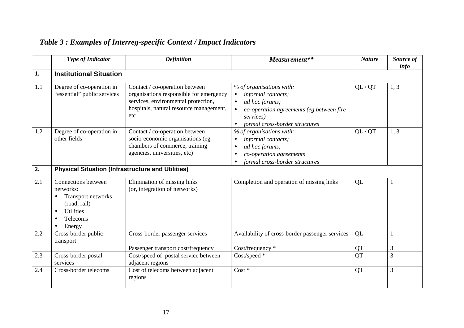|     | <b>Type of Indicator</b>                                                                                                      | <b>Definition</b>                                                                                                                                                  | Measurement**                                                                                                                                                            | <b>Nature</b>   | Source of<br>info |
|-----|-------------------------------------------------------------------------------------------------------------------------------|--------------------------------------------------------------------------------------------------------------------------------------------------------------------|--------------------------------------------------------------------------------------------------------------------------------------------------------------------------|-----------------|-------------------|
| 1.  | <b>Institutional Situation</b>                                                                                                |                                                                                                                                                                    |                                                                                                                                                                          |                 |                   |
| 1.1 | Degree of co-operation in<br>"essential" public services                                                                      | Contact / co-operation between<br>organisations responsible for emergency<br>services, environmental protection,<br>hospitals, natural resource management,<br>etc | % of organisations with:<br>informal contacts;<br>ad hoc forums;<br>co-operation agreements (eg between fire<br>services)<br>formal cross-border structures<br>$\bullet$ | QL / QT         | 1, 3              |
| 1.2 | Degree of co-operation in<br>other fields                                                                                     | Contact / co-operation between<br>socio-economic organisations (eg<br>chambers of commerce, training<br>agencies, universities, etc)                               | % of organisations with:<br>informal contacts;<br>ad hoc forums;<br>co-operation agreements<br>formal cross-border structures                                            | QL / QT         | 1, 3              |
| 2.  | <b>Physical Situation (Infrastructure and Utilities)</b>                                                                      |                                                                                                                                                                    |                                                                                                                                                                          |                 |                   |
| 2.1 | Connections between<br>networks:<br>Transport networks<br>(road, rail)<br><b>Utilities</b><br>$\bullet$<br>Telecoms<br>Energy | Elimination of missing links<br>(or, integration of networks)                                                                                                      | Completion and operation of missing links                                                                                                                                | QL              |                   |
| 2.2 | Cross-border public<br>transport                                                                                              | Cross-border passenger services                                                                                                                                    | Availability of cross-border passenger services                                                                                                                          | QL              | $\mathbf 1$       |
| 2.3 | Cross-border postal<br>services                                                                                               | Passenger transport cost/frequency<br>Cost/speed of postal service between<br>adjacent regions                                                                     | Cost/frequency *<br>Cost/speed *                                                                                                                                         | QT<br><b>OT</b> | 3<br>3            |
| 2.4 | Cross-border telecoms                                                                                                         | Cost of telecoms between adjacent<br>regions                                                                                                                       | $Cost *$                                                                                                                                                                 | <b>QT</b>       | 3                 |

# *Table 3 : Examples of Interreg-specific Context / Impact Indicators*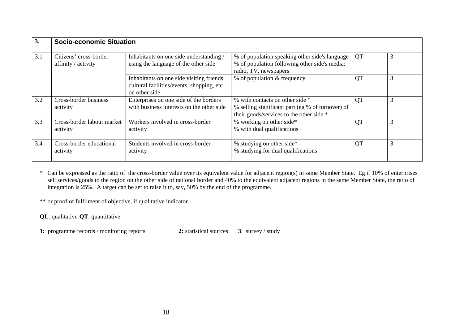| 3.  | <b>Socio-economic Situation</b>               |                                                                                                         |                                                                                                                                 |    |   |  |
|-----|-----------------------------------------------|---------------------------------------------------------------------------------------------------------|---------------------------------------------------------------------------------------------------------------------------------|----|---|--|
| 3.1 | Citizens' cross-border<br>affinity / activity | Inhabitants on one side understanding /<br>using the language of the other side                         | % of population speaking other side's language<br>% of population following other side's media:<br>radio, TV, newspapers        | QT | 3 |  |
|     |                                               | Inhabitants on one side visiting friends,<br>cultural facilities/events, shopping, etc<br>on other side | % of population & frequency                                                                                                     | QT | 3 |  |
| 3.2 | Cross-border business<br>activity             | Enterprises on one side of the borders<br>with business interests on the other side                     | % with contacts on other side *<br>% selling significant part (eg % of turnover) of<br>their goods/services to the other side * | QT | 3 |  |
| 3.3 | Cross-border labour market<br>activity        | Workers involved in cross-border<br>activity                                                            | % working on other side*<br>% with dual qualifications                                                                          | QT | 3 |  |
| 3.4 | Cross-border educational<br>activity          | Students involved in cross-border<br>activity                                                           | % studying on other side*<br>% studying for dual qualifications                                                                 | QT | 3 |  |

\* Can be expressed as the ratio of the cross-border value over its equivalent value for adjacent region(s) in same Member State. Eg if 10% of enterprises sell services/goods to the region on the other side of national border and 40% to the equivalent adjacent regions in the same Member State, the ratio of integration is 25%. A target can be set to raise it to, say, 50% by the end of the programme.

\*\* or proof of fulfilment of objective, if qualitative indicator

**QL**: qualitative **QT**: quantitative

**1:** programme records / monitoring reports **2:** statistical sources **3**: survey / study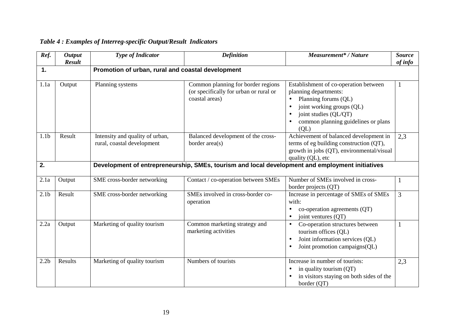#### *Ref. Output Result Type of Indicator*  $\qquad$  | *Definition* | *Measurement<sup>\*</sup> / Nature* | *Source* **1. Promotion of urban, rural and coastal development**  1.1a | Output | Planning systems | Common planning for border regions (or specifically for urban or rural or coastal areas) Establishment of co-operation between planning departments: • Planning forums (QL) • joint working groups (OL) • joint studies (QL/QT) • common planning guidelines or plans  $(OL)$ 1.1bResult Intensity and quality of urban, rural, coastal development Balanced development of the cross-Balanced development of the cross-<br>border area(s)  $\left\{\n\begin{array}{c}\n\text{Achievement of balanced development in terms of eq building construction (OT),\n\end{array}\n\right.$ growth in jobs (QT), environmental/visual quality (QL), etc **2. Development of entrepreneurship, SMEs, tourism and local development and employment initiatives**  2.1a Output SME cross-border networking Contact / co-operation between SMEs Number of SMEs involved in cross-<br>border projects (QT) 2.1b Result SME cross-border networking SMEs involved in cross-border co-SMEs involved in cross-border co-<br>operation  $\begin{array}{c|c}\n\text{Increase in percentage of SMEs of SMEs}\n\end{array}$ • co-operation agreements (OT) • joint ventures (OT) 2.2a Output Marketing of quality tourism Common marketing strategy and marketing activities • Co-operation structures between tourism offices (QL) • Joint information services (OL) • Joint promotion campaigns(QL) 2.2b Results Marketing of quality tourism Numbers of tourists Increase in number of tourists: • in quality tourism (QT) • in visitors staying on both sides of the

*of info* 

1

2,3

3

1

2,3

border (QT)

# *Table 4 : Examples of Interreg-specific Output/Result Indicators*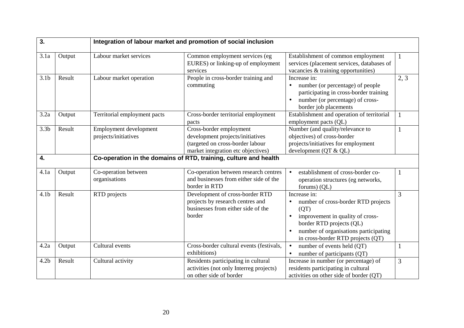| 3.               |        | Integration of labour market and promotion of social inclusion |                                                                                                                                       |                                                                                                                                                                                                           |      |  |  |  |
|------------------|--------|----------------------------------------------------------------|---------------------------------------------------------------------------------------------------------------------------------------|-----------------------------------------------------------------------------------------------------------------------------------------------------------------------------------------------------------|------|--|--|--|
| 3.1a             | Output | Labour market services                                         | Common employment services (eg<br>EURES) or linking-up of employment<br>services                                                      | Establishment of common employment<br>services (placement services, databases of<br>vacancies & training opportunities)                                                                                   |      |  |  |  |
| 3.1 <sub>b</sub> | Result | Labour market operation                                        | People in cross-border training and<br>commuting                                                                                      | Increase in:<br>number (or percentage) of people<br>participating in cross-border training<br>number (or percentage) of cross-<br>border job placements                                                   | 2, 3 |  |  |  |
| 3.2a             | Output | Territorial employment pacts                                   | Cross-border territorial employment<br>pacts                                                                                          | Establishment and operation of territorial<br>employment pacts (QL)                                                                                                                                       |      |  |  |  |
| 3.3 <sub>b</sub> | Result | Employment development<br>projects/initiatives                 | Cross-border employment<br>development projects/initiatives<br>(targeted on cross-border labour<br>market integration etc objectives) | Number (and quality/relevance to<br>objectives) of cross-border<br>projects/initiatives for employment<br>development (QT & QL)                                                                           |      |  |  |  |
| 4.               |        |                                                                | Co-operation in the domains of RTD, training, culture and health                                                                      |                                                                                                                                                                                                           |      |  |  |  |
| 4.1a             | Output | Co-operation between<br>organisations                          | Co-operation between research centres<br>and businesses from either side of the<br>border in RTD                                      | establishment of cross-border co-<br>operation structures (eg networks,<br>forums) (QL)                                                                                                                   |      |  |  |  |
| 4.1 <sub>b</sub> | Result | RTD projects                                                   | Development of cross-border RTD<br>projects by research centres and<br>businesses from either side of the<br>border                   | Increase in:<br>number of cross-border RTD projects<br>(QT)<br>improvement in quality of cross-<br>border RTD projects (QL)<br>number of organisations participating<br>in cross-border RTD projects (QT) | 3    |  |  |  |
| 4.2a             | Output | Cultural events                                                | Cross-border cultural events (festivals,<br>exhibitions)                                                                              | number of events held (QT)<br>$\bullet$<br>number of participants (QT)                                                                                                                                    |      |  |  |  |
| 4.2 <sub>b</sub> | Result | Cultural activity                                              | Residents participating in cultural<br>activities (not only Interreg projects)<br>on other side of border                             | Increase in number (or percentage) of<br>residents participating in cultural<br>activities on other side of border (QT)                                                                                   | 3    |  |  |  |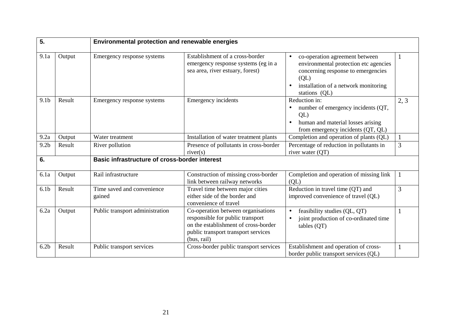| 5.               |        | Environmental protection and renewable energies      |                                                                                                                                                                      |                                                                                                                                                                                                  |      |
|------------------|--------|------------------------------------------------------|----------------------------------------------------------------------------------------------------------------------------------------------------------------------|--------------------------------------------------------------------------------------------------------------------------------------------------------------------------------------------------|------|
| 9.1a             | Output | Emergency response systems                           | Establishment of a cross-border<br>emergency response systems (eg in a<br>sea area, river estuary, forest)                                                           | co-operation agreement between<br>environmental protection etc agencies<br>concerning response to emergencies<br>$\overline{\text{QL}}$<br>installation of a network monitoring<br>stations (QL) |      |
| 9.1 <sub>b</sub> | Result | Emergency response systems                           | <b>Emergency incidents</b>                                                                                                                                           | Reduction in:<br>number of emergency incidents (QT,<br>QL<br>human and material losses arising<br>from emergency incidents (QT, QL)                                                              | 2, 3 |
| 9.2a             | Output | Water treatment                                      | Installation of water treatment plants                                                                                                                               | Completion and operation of plants (QL)                                                                                                                                                          |      |
| 9.2 <sub>b</sub> | Result | River pollution                                      | Presence of pollutants in cross-border<br>river(s)                                                                                                                   | Percentage of reduction in pollutants in<br>river water (QT)                                                                                                                                     | 3    |
| 6.               |        | <b>Basic infrastructure of cross-border interest</b> |                                                                                                                                                                      |                                                                                                                                                                                                  |      |
| 6.1a             | Output | Rail infrastructure                                  | Construction of missing cross-border<br>link between railway networks                                                                                                | Completion and operation of missing link<br>(QL)                                                                                                                                                 |      |
| 6.1 <sub>b</sub> | Result | Time saved and convenience<br>gained                 | Travel time between major cities<br>either side of the border and<br>convenience of travel                                                                           | Reduction in travel time (QT) and<br>improved convenience of travel (QL)                                                                                                                         | 3    |
| 6.2a             | Output | Public transport administration                      | Co-operation between organisations<br>responsible for public transport<br>on the establishment of cross-border<br>public transport transport services<br>(bus, rail) | feasibility studies (QL, QT)<br>joint production of co-ordinated time<br>tables (QT)                                                                                                             |      |
| 6.2 <sub>b</sub> | Result | Public transport services                            | Cross-border public transport services                                                                                                                               | Establishment and operation of cross-<br>border public transport services (QL)                                                                                                                   |      |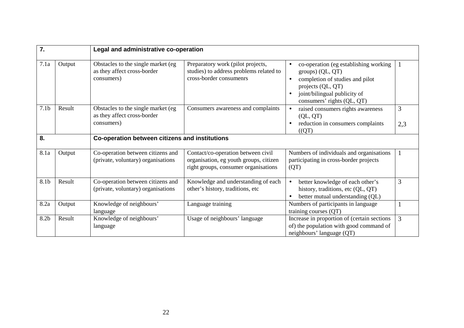| 7.               |        | Legal and administrative co-operation                                            |                                                                                                                      |                                                                                                                                                                                 |          |
|------------------|--------|----------------------------------------------------------------------------------|----------------------------------------------------------------------------------------------------------------------|---------------------------------------------------------------------------------------------------------------------------------------------------------------------------------|----------|
| 7.1a             | Output | Obstacles to the single market (eg<br>as they affect cross-border<br>consumers)  | Preparatory work (pilot projects,<br>studies) to address problems related to<br>cross-border consumenrs              | co-operation (eg establishing working<br>groups) (QL, QT)<br>completion of studies and pilot<br>projects (QL, QT)<br>joint/bilingual publicity of<br>consumers' rights (QL, QT) |          |
| 7.1 <sub>b</sub> | Result | Obstacles to the single market (eg)<br>as they affect cross-border<br>consumers) | Consumers awareness and complaints                                                                                   | raised consumers rights awareness<br>(QL, QT)<br>reduction in consumers complaints<br>((QT)                                                                                     | 3<br>2,3 |
| 8.               |        | Co-operation between citizens and institutions                                   |                                                                                                                      |                                                                                                                                                                                 |          |
| 8.1a             | Output | Co-operation between citizens and<br>(private, voluntary) organisations          | Contact/co-operation between civil<br>organisation, eg youth groups, citizen<br>right groups, consumer organisations | Numbers of individuals and organisations<br>participating in cross-border projects<br>(QT)                                                                                      |          |
| 8.1b             | Result | Co-operation between citizens and<br>(private, voluntary) organisations          | Knowledge and understanding of each<br>other's history, traditions, etc.                                             | better knowledge of each other's<br>history, traditions, etc (QL, QT)<br>better mutual understanding (QL)                                                                       | 3        |
| 8.2a             | Output | Knowledge of neighbours'<br>language                                             | Language training                                                                                                    | Numbers of participants in language<br>training courses (QT)                                                                                                                    |          |
| 8.2b             | Result | Knowledge of neighbours'<br>language                                             | Usage of neighbours' language                                                                                        | Increase in proportion of (certain sections<br>of) the population with good command of<br>neighbours' language (QT)                                                             | 3        |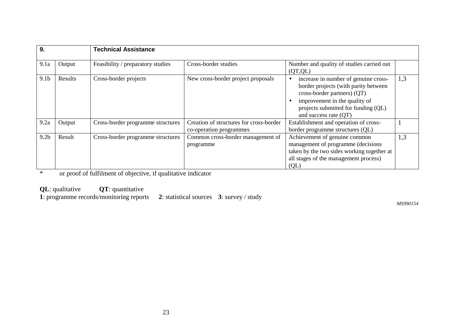| 9.               |         | <b>Technical Assistance</b>       |                                                                    |                                                                                                                                                                                                              |     |
|------------------|---------|-----------------------------------|--------------------------------------------------------------------|--------------------------------------------------------------------------------------------------------------------------------------------------------------------------------------------------------------|-----|
| 9.1a             | Output  | Feasibility / preparatory studies | Cross-border studies                                               | Number and quality of studies carried out<br>(QT, QL)                                                                                                                                                        |     |
| 9.1 <sub>b</sub> | Results | Cross-border projects             | New cross-border project proposals                                 | increase in number of genuine cross-<br>border projects (with parity between<br>cross-border partners) (QT)<br>improvement in the quality of<br>projects submitted for funding (QL)<br>and success rate (QT) | 1,3 |
| 9.2a             | Output  | Cross-border programme structures | Creation of structures for cross-border<br>co-operation programmes | Establishment and operation of cross-<br>border programme structures (QL)                                                                                                                                    |     |
| 9.2 <sub>b</sub> | Result  | Cross-border programme structures | Common cross-border management of<br>programme                     | Achievement of genuine common<br>management of programme (decisions<br>taken by the two sides working together at<br>all stages of the management process)<br>$\overline{Q}$                                 | 1,3 |

\* or proof of fulfilment of objective, if qualitative indicator

**QL**: qualitative **QT**: quantitative

**1**: programme records/monitoring reports **2**: statistical sources **3**: survey / study

*MS990154*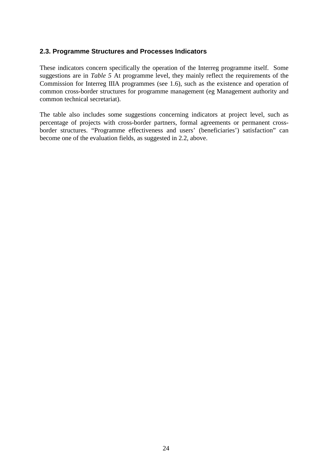# **2.3. Programme Structures and Processes Indicators**

These indicators concern specifically the operation of the Interreg programme itself. Some suggestions are in *Table 5* At programme level, they mainly reflect the requirements of the Commission for Interreg IIIA programmes (see 1.6), such as the existence and operation of common cross-border structures for programme management (eg Management authority and common technical secretariat).

The table also includes some suggestions concerning indicators at project level, such as percentage of projects with cross-border partners, formal agreements or permanent crossborder structures. "Programme effectiveness and users' (beneficiaries') satisfaction" can become one of the evaluation fields, as suggested in 2.2, above.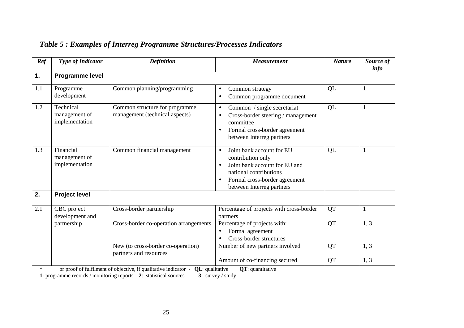| Ref | <b>Type of Indicator</b>                     | <b>Definition</b>                                                | <b>Measurement</b>                                                                                                                                                                   | <b>Nature</b> | Source of<br>info |
|-----|----------------------------------------------|------------------------------------------------------------------|--------------------------------------------------------------------------------------------------------------------------------------------------------------------------------------|---------------|-------------------|
| 1.  | Programme level                              |                                                                  |                                                                                                                                                                                      |               |                   |
| 1.1 | Programme<br>development                     | Common planning/programming                                      | Common strategy<br>$\bullet$<br>Common programme document<br>$\bullet$                                                                                                               | QL            |                   |
| 1.2 | Technical<br>management of<br>implementation | Common structure for programme<br>management (technical aspects) | Common / single secretariat<br>$\bullet$<br>Cross-border steering / management<br>$\bullet$<br>committee<br>Formal cross-border agreement<br>between Interreg partners               | QL            |                   |
| 1.3 | Financial<br>management of<br>implementation | Common financial management                                      | Joint bank account for EU<br>$\bullet$<br>contribution only<br>Joint bank account for EU and<br>national contributions<br>Formal cross-border agreement<br>between Interreg partners | QL            |                   |
| 2.  | <b>Project level</b>                         |                                                                  |                                                                                                                                                                                      |               |                   |
| 2.1 | CBC project<br>development and               | Cross-border partnership                                         | Percentage of projects with cross-border<br>partners                                                                                                                                 | <b>QT</b>     | 1                 |
|     | partnership                                  | Cross-border co-operation arrangements                           | Percentage of projects with:<br>Formal agreement<br>$\bullet$<br>Cross-border structures                                                                                             | QT            | 1, 3              |
|     |                                              | New (to cross-border co-operation)<br>partners and resources     | Number of new partners involved                                                                                                                                                      | QT            | 1, 3              |
|     |                                              |                                                                  | Amount of co-financing secured                                                                                                                                                       | QT            | 1, 3              |

# *Table 5 : Examples of Interreg Programme Structures/Processes Indicators*

\* or proof of fulfilment of objective, if qualitative indicator - **QL**: qualitative **QT**: quantitative **1**: programme records / monitoring reports **2**: statistical sources **3**: survey / study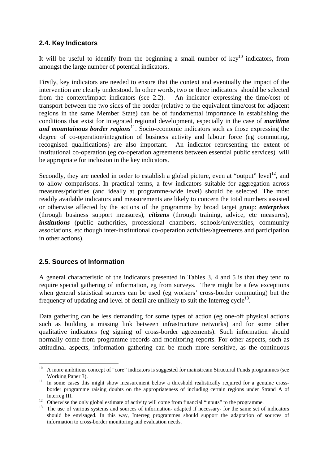# **2.4. Key Indicators**

It will be useful to identify from the beginning a small number of  $\text{keV}^{10}$  indicators, from amongst the large number of potential indicators.

Firstly, key indicators are needed to ensure that the context and eventually the impact of the intervention are clearly understood. In other words, two or three indicators should be selected from the context/impact indicators (see 2.2). An indicator expressing the time/cost of transport between the two sides of the border (relative to the equivalent time/cost for adjacent regions in the same Member State) can be of fundamental importance in establishing the conditions that exist for integrated regional development, especially in the case of *maritime and mountainous border regions*<sup>11</sup>. Socio-economic indicators such as those expressing the degree of co-operation/integration of business activity and labour force (eg commuting, recognised qualifications) are also important. An indicator representing the extent of institutional co-operation (eg co-operation agreements between essential public services) will be appropriate for inclusion in the key indicators.

Secondly, they are needed in order to establish a global picture, even at "output" level<sup>12</sup>, and to allow comparisons. In practical terms, a few indicators suitable for aggregation across measures/priorities (and ideally at programme-wide level) should be selected. The most readily available indicators and measurements are likely to concern the total numbers assisted or otherwise affected by the actions of the programme by broad target group: *enterprises* (through business support measures), *citizens* (through training, advice, etc measures), *institutions* (public authorities, professional chambers, schools/universities, community associations, etc though inter-institutional co-operation activities/agreements and participation in other actions).

# **2.5. Sources of Information**

 $\overline{a}$ 

A general characteristic of the indicators presented in Tables 3, 4 and 5 is that they tend to require special gathering of information, eg from surveys. There might be a few exceptions when general statistical sources can be used (eg workers' cross-border commuting) but the frequency of updating and level of detail are unlikely to suit the Interreg cycle<sup>13</sup>.

Data gathering can be less demanding for some types of action (eg one-off physical actions such as building a missing link between infrastructure networks) and for some other qualitative indicators (eg signing of cross-border agreements). Such information should normally come from programme records and monitoring reports. For other aspects, such as attitudinal aspects, information gathering can be much more sensitive, as the continuous

<sup>&</sup>lt;sup>10</sup> A more ambitious concept of "core" indicators is suggested for mainstream Structural Funds programmes (see Working Paper 3).<br><sup>11</sup> In some cases this might show measurement below a threshold realistically required for a genuine cross-

border programme raising doubts on the appropriateness of including certain regions under Strand A of

Interreg III.<br><sup>12</sup> Otherwise the only global estimate of activity will come from financial "inputs" to the programme.

<sup>&</sup>lt;sup>13</sup> The use of various systems and sources of information- adapted if necessary- for the same set of indicators should be envisaged. In this way, Interreg programmes should support the adaptation of sources of information to cross-border monitoring and evaluation needs.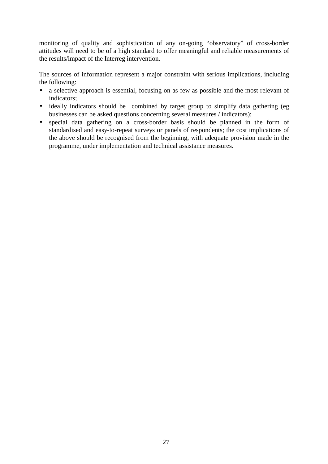monitoring of quality and sophistication of any on-going "observatory" of cross-border attitudes will need to be of a high standard to offer meaningful and reliable measurements of the results/impact of the Interreg intervention.

The sources of information represent a major constraint with serious implications, including the following:

- a selective approach is essential, focusing on as few as possible and the most relevant of indicators;
- ideally indicators should be combined by target group to simplify data gathering (eg businesses can be asked questions concerning several measures / indicators);
- special data gathering on a cross-border basis should be planned in the form of standardised and easy-to-repeat surveys or panels of respondents; the cost implications of the above should be recognised from the beginning, with adequate provision made in the programme, under implementation and technical assistance measures.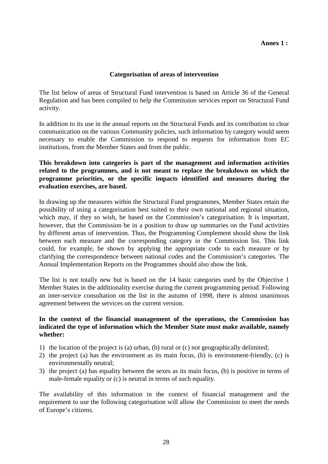## **Categorisation of areas of intervention**

The list below of areas of Structural Fund intervention is based on Article 36 of the General Regulation and has been compiled to help the Commission services report on Structural Fund activity.

In addition to its use in the annual reports on the Structural Funds and its contribution to clear communication on the various Community policies, such information by category would seem necessary to enable the Commission to respond to requests for information from EC institutions, from the Member States and from the public.

**This breakdown into categories is part of the management and information activities related to the programmes, and is not meant to replace the breakdown on which the programme priorities, or the specific impacts identified and measures during the evaluation exercises, are based.**

In drawing up the measures within the Structural Fund programmes, Member States retain the possibility of using a categorisation best suited to their own national and regional situation, which may, if they so wish, be based on the Commission's categorisation. It is important, however, that the Commission be in a position to draw up summaries on the Fund activities by different areas of intervention. Thus, the Programming Complement should show the link between each measure and the corresponding category in the Commission list. This link could, for example, be shown by applying the appropriate code to each measure or by clarifying the correspondence between national codes and the Commission's categories. The Annual Implementation Reports on the Programmes should also show the link.

The list is not totally new but is based on the 14 basic categories used by the Objective 1 Member States in the additionality exercise during the current programming period. Following an inter-service consultation on the list in the autumn of 1998, there is almost unanimous agreement between the services on the current version.

## **In the context of the financial management of the operations, the Commission has indicated the type of information which the Member State must make available, namely whether:**

- 1) the location of the project is (a) urban, (b) rural or (c) not geographically delimited;
- 2) the project (a) has the environment as its main focus, (b) is environment-friendly, (c) is environmentally neutral;
- 3) the project (a) has equality between the sexes as its main focus, (b) is positive in terms of male-female equality or (c) is neutral in terms of such equality.

The availability of this information in the context of financial management and the requirement to use the following categorisation will allow the Commission to meet the needs of Europe's citizens.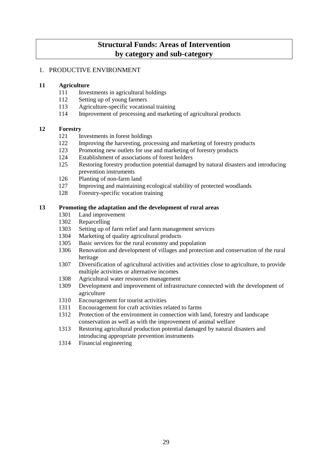# **Structural Funds: Areas of Intervention by category and sub-category**

### 1. PRODUCTIVE ENVIRONMENT

#### **11 Agriculture**

- 111 Investments in agricultural holdings
- 112 Setting up of young farmers
- 113 Agriculture-specific vocational training
- 114 Improvement of processing and marketing of agricultural products

#### **12 Forestry**

- 121 Investments in forest holdings
- 122 Improving the harvesting, processing and marketing of forestry products
- 123 Promoting new outlets for use and marketing of forestry products
- 124 Establishment of associations of forest holders
- 125 Restoring forestry production potential damaged by natural disasters and introducing prevention instruments
- 126 Planting of non-farm land
- 127 Improving and maintaining ecological stability of protected woodlands
- 128 Forestry-specific vocation training

#### **13 Promoting the adaptation and the development of rural areas**

- 1301 Land improvement
- 1302 Reparcelling
- 1303 Setting up of farm relief and farm management services
- 1304 Marketing of quality agricultural products
- 1305 Basic services for the rural economy and population
- 1306 Renovation and development of villages and protection and conservation of the rural heritage
- 1307 Diversification of agricultural activities and activities close to agriculture, to provide multiple activities or alternative incomes
- 1308 Agricultural water resources management
- 1309 Development and improvement of infrastructure connected with the development of agriculture
- 1310 Encouragement for tourist activities
- 1311 Encouragement for craft activities related to farms
- 1312 Protection of the environment in connection with land, forestry and landscape conservation as well as with the improvement of animal welfare
- 1313 Restoring agricultural production potential damaged by natural disasters and introducing appropriate prevention instruments
- 1314 Financial engineering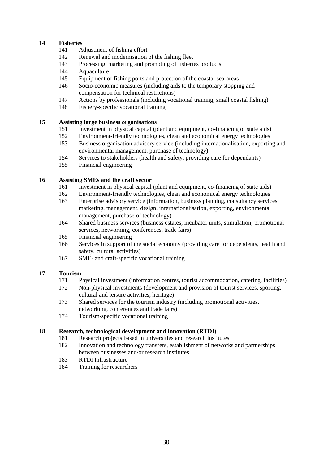#### **14 Fisheries**

- 141 Adjustment of fishing effort
- 142 Renewal and modernisation of the fishing fleet
- 143 Processing, marketing and promoting of fisheries products
- 144 Aquaculture
- 145 Equipment of fishing ports and protection of the coastal sea-areas
- 146 Socio-economic measures (including aids to the temporary stopping and compensation for technical restrictions)
- 147 Actions by professionals (including vocational training, small coastal fishing)
- 148 Fishery-specific vocational training

#### **15 Assisting large business organisations**

- 151 Investment in physical capital (plant and equipment, co-financing of state aids)
- 152 Environment-friendly technologies, clean and economical energy technologies
- 153 Business organisation advisory service (including internationalisation, exporting and environmental management, purchase of technology)
- 154 Services to stakeholders (health and safety, providing care for dependants)
- 155 Financial engineering

#### **16 Assisting SMEs and the craft sector**

- 161 Investment in physical capital (plant and equipment, co-financing of state aids)
- 162 Environment-friendly technologies, clean and economical energy technologies
- 163 Enterprise advisory service (information, business planning, consultancy services, marketing, management, design, internationalisation, exporting, environmental management, purchase of technology)
- 164 Shared business services (business estates, incubator units, stimulation, promotional services, networking, conferences, trade fairs)
- 165 Financial engineering
- 166 Services in support of the social economy (providing care for dependents, health and safety, cultural activities)
- 167 SME- and craft-specific vocational training

#### **17 Tourism**

- 171 Physical investment (information centres, tourist accommodation, catering, facilities)
- 172 Non-physical investments (development and provision of tourist services, sporting, cultural and leisure activities, heritage)
- 173 Shared services for the tourism industry (including promotional activities, networking, conferences and trade fairs)
- 174 Tourism-specific vocational training

#### **18 Research, technological development and innovation (RTDI)**

- 181 Research projects based in universities and research institutes
- 182 Innovation and technology transfers, establishment of networks and partnerships between businesses and/or research institutes
- 183 RTDI Infrastructure
- 184 Training for researchers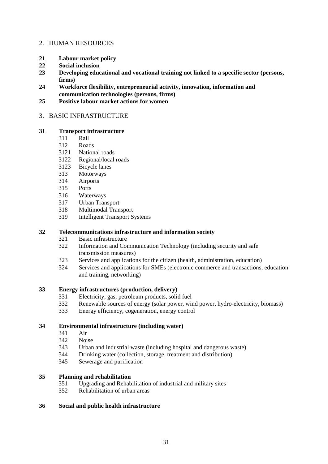#### 2. HUMAN RESOURCES

- **21 Labour market policy**
- **22 Social inclusion**
- **23 Developing educational and vocational training not linked to a specific sector (persons, firms)**
- **24 Workforce flexibility, entrepreneurial activity, innovation, information and communication technologies (persons, firms)**
- **25 Positive labour market actions for women**

#### 3. BASIC INFRASTRUCTURE

#### **31 Transport infrastructure**

- 311 Rail
- 312 Roads
- 3121 National roads
- 3122 Regional/local roads
- 3123 Bicycle lanes
- 313 Motorways
- 314 Airports
- 315 Ports
- 316 Waterways
- 317 Urban Transport
- 318 Multimodal Transport
- 319 Intelligent Transport Systems

#### **32 Telecommunications infrastructure and information society**

- 321 Basic infrastructure
- 322 Information and Communication Technology (including security and safe transmission measures)
- 323 Services and applications for the citizen (health, administration, education)
- 324 Services and applications for SMEs (electronic commerce and transactions, education and training, networking)

#### **33 Energy infrastructures (production, delivery)**

- 331 Electricity, gas, petroleum products, solid fuel
- 332 Renewable sources of energy (solar power, wind power, hydro-electricity, biomass)
- 333 Energy efficiency, cogeneration, energy control

## **34 Environmental infrastructure (including water)**

- 341 Air
- 342 Noise
- 343 Urban and industrial waste (including hospital and dangerous waste)
- 344 Drinking water (collection, storage, treatment and distribution)
- 345 Sewerage and purification

#### **35 Planning and rehabilitation**

- 351 Upgrading and Rehabilitation of industrial and military sites
- 352 Rehabilitation of urban areas

#### **36 Social and public health infrastructure**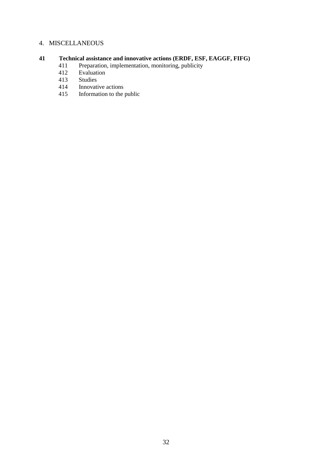## 4. MISCELLANEOUS

#### **41 Technical assistance and innovative actions (ERDF, ESF, EAGGF, FIFG)**

- 411 Preparation, implementation, monitoring, publicity
- 412 Evaluation
- 413 Studies
- 414 Innovative actions<br>415 Information to the
- Information to the public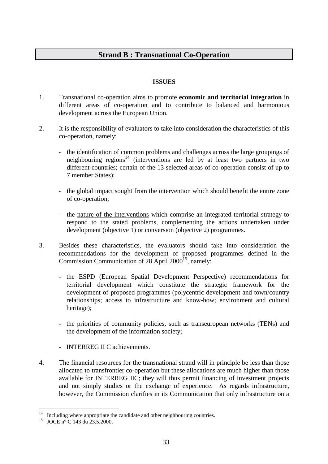# **Strand B : Transnational Co-Operation**

# **ISSUES**

- 1. Transnational co-operation aims to promote **economic and territorial integration** in different areas of co-operation and to contribute to balanced and harmonious development across the European Union.
- 2. It is the responsibility of evaluators to take into consideration the characteristics of this co-operation, namely:
	- the identification of common problems and challenges across the large groupings of neighbouring regions<sup>14</sup> (interventions are led by at least two partners in two different countries; certain of the 13 selected areas of co-operation consist of up to 7 member States);
	- the global impact sought from the intervention which should benefit the entire zone of co-operation;
	- the nature of the interventions which comprise an integrated territorial strategy to respond to the stated problems, complementing the actions undertaken under development (objective 1) or conversion (objective 2) programmes.
- 3. Besides these characteristics, the evaluators should take into consideration the recommendations for the development of proposed programmes defined in the Commission Communication of 28 April  $2000^{15}$ , namely:
	- the ESPD (European Spatial Development Perspective) recommendations for territorial development which constitute the strategic framework for the development of proposed programmes (polycentric development and town/country relationships; access to infrastructure and know-how; environment and cultural heritage);
	- the priorities of community policies, such as transeuropean networks (TENs) and the development of the information society;
	- INTERREG II C achievements.
- 4. The financial resources for the transnational strand will in principle be less than those allocated to transfrontier co-operation but these allocations are much higher than those available for INTERREG IIC; they will thus permit financing of investment projects and not simply studies or the exchange of experience. As regards infrastructure, however, the Commission clarifies in its Communication that only infrastructure on a

 $\overline{a}$ 

 $14$  Including where appropriate the candidate and other neighbouring countries.

<sup>&</sup>lt;sup>15</sup> JOCE n° C 143 du 23.5.2000.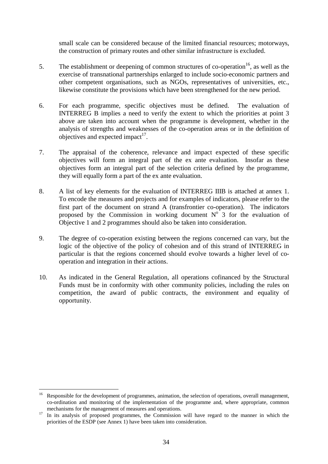small scale can be considered because of the limited financial resources; motorways, the construction of primary routes and other similar infrastructure is excluded.

- 5. The establishment or deepening of common structures of co-operation<sup>16</sup>, as well as the exercise of transnational partnerships enlarged to include socio-economic partners and other competent organisations, such as NGOs, representatives of universities, etc., likewise constitute the provisions which have been strengthened for the new period.
- 6. For each programme, specific objectives must be defined. The evaluation of INTERREG B implies a need to verify the extent to which the priorities at point 3 above are taken into account when the programme is development, whether in the analysis of strengths and weaknesses of the co-operation areas or in the definition of objectives and expected impact<sup>17</sup>.
- 7. The appraisal of the coherence, relevance and impact expected of these specific objectives will form an integral part of the ex ante evaluation. Insofar as these objectives form an integral part of the selection criteria defined by the programme, they will equally form a part of the ex ante evaluation.
- 8. A list of key elements for the evaluation of INTERREG IIIB is attached at annex 1. To encode the measures and projects and for examples of indicators, please refer to the first part of the document on strand A (transfrontier co-operation). The indicators proposed by the Commission in working document  $N^{\circ}$  3 for the evaluation of Objective 1 and 2 programmes should also be taken into consideration.
- 9. The degree of co-operation existing between the regions concerned can vary, but the logic of the objective of the policy of cohesion and of this strand of INTERREG in particular is that the regions concerned should evolve towards a higher level of cooperation and integration in their actions.
- 10. As indicated in the General Regulation, all operations cofinanced by the Structural Funds must be in conformity with other community policies, including the rules on competition, the award of public contracts, the environment and equality of opportunity.

 $\overline{a}$ Responsible for the development of programmes, animation, the selection of operations, overall management, co-ordination and monitoring of the implementation of the programme and, where appropriate, common mechanisms for the management of measures and operations.<br><sup>17</sup> In its analysis of proposed programmes, the Commission will have regard to the manner in which the

priorities of the ESDP (see Annex 1) have been taken into consideration.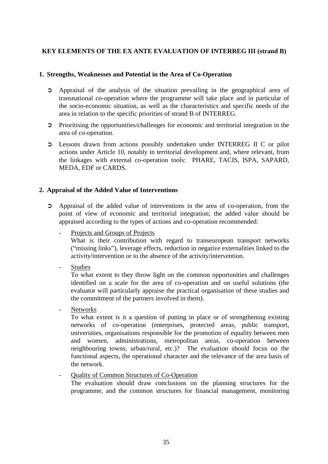## **KEY ELEMENTS OF THE EX ANTE EVALUATION OF INTERREG III (strand B)**

#### **1. Strengths, Weaknesses and Potential in the Area of Co-Operation**

- ➲ Appraisal of the analysis of the situation prevailing in the geographical area of transnational co-operation where the programme will take place and in particular of the socio-economic situation, as well as the characteristics and specific needs of the area in relation to the specific priorities of strand B of INTERREG.
- ➲ Prioritising the opportunities/challenges for economic and territorial integration in the area of co-operation.
- ➲ Lessons drawn from actions possibly undertaken under INTERREG II C or pilot actions under Article 10, notably in territorial development and, where relevant, from the linkages with external co-operation tools: PHARE, TACIS, ISPA, SAPARD, MEDA, EDF or CARDS.

#### **2. Appraisal of the Added Value of Interventions**

- ➲ Appraisal of the added value of interventions in the area of co-operation, from the point of view of economic and territorial integration; the added value should be appraised according to the types of actions and co-operation recommended:
	- Projects and Groups of Projects What is their contribution with regard to transeuropean transport networks ("missing links"), leverage effects, reduction in negative externalities linked to the activity/intervention or to the absence of the activity/intervention.
	- Studies

To what extent to they throw light on the common opportunities and challenges identified on a scale for the area of co-operation and on useful solutions (the evaluator will particularly appraise the practical organisation of these studies and the commitment of the partners involved in them).

**Networks** 

To what extent is it a question of putting in place or of strengthening existing networks of co-operation (enterprises, protected areas, public transport, universities, organisations responsible for the promotion of equality between men and women, administrations, metropolitan areas, co-operation between neighbouring towns, urban/rural, etc.)? The evaluation should focus on the functional aspects, the operational character and the relevance of the area basis of the network.

- Quality of Common Structures of Co-Operation The evaluation should draw conclusions on the planning structures for the programme, and the common structures for financial management, monitoring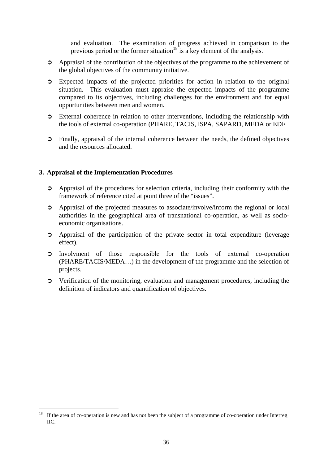and evaluation. The examination of progress achieved in comparison to the previous period or the former situation<sup>18</sup> is a key element of the analysis.

- ➲ Appraisal of the contribution of the objectives of the programme to the achievement of the global objectives of the community initiative.
- ➲ Expected impacts of the projected priorities for action in relation to the original situation. This evaluation must appraise the expected impacts of the programme compared to its objectives, including challenges for the environment and for equal opportunities between men and women.
- ➲ External coherence in relation to other interventions, including the relationship with the tools of external co-operation (PHARE, TACIS, ISPA, SAPARD, MEDA or EDF
- ➲ Finally, appraisal of the internal coherence between the needs, the defined objectives and the resources allocated.

## **3. Appraisal of the Implementation Procedures**

- ➲ Appraisal of the procedures for selection criteria, including their conformity with the framework of reference cited at point three of the "issues".
- ➲ Appraisal of the projected measures to associate/involve/inform the regional or local authorities in the geographical area of transnational co-operation, as well as socioeconomic organisations.
- ➲ Appraisal of the participation of the private sector in total expenditure (leverage effect).
- ➲ Involvment of those responsible for the tools of external co-operation (PHARE/TACIS/MEDA…) in the development of the programme and the selection of projects.
- ➲ Verification of the monitoring, evaluation and management procedures, including the definition of indicators and quantification of objectives.

 $18\,$ If the area of co-operation is new and has not been the subject of a programme of co-operation under Interreg IIC.